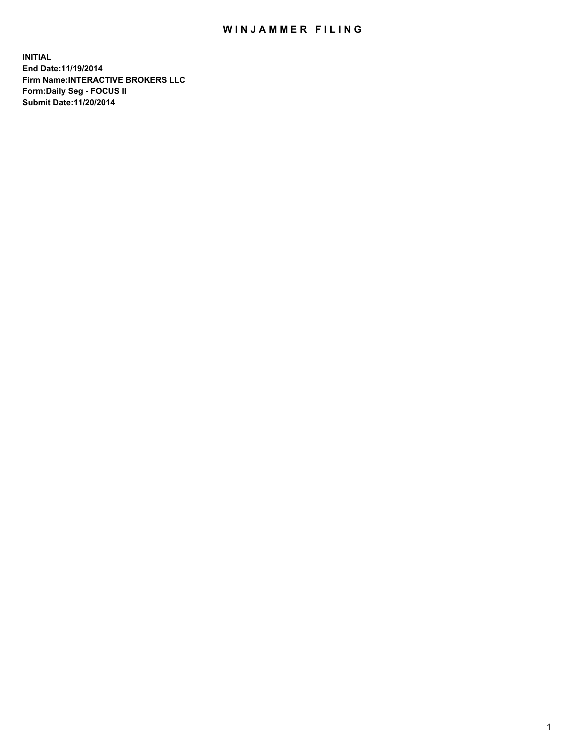## WIN JAMMER FILING

**INITIAL End Date:11/19/2014 Firm Name:INTERACTIVE BROKERS LLC Form:Daily Seg - FOCUS II Submit Date:11/20/2014**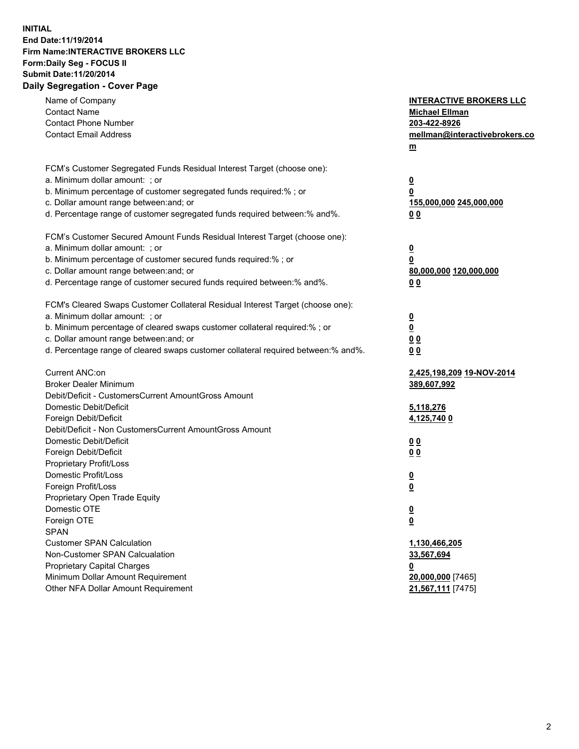## **INITIAL End Date:11/19/2014 Firm Name:INTERACTIVE BROKERS LLC Form:Daily Seg - FOCUS II Submit Date:11/20/2014 Daily Segregation - Cover Page**

| Name of Company<br><b>Contact Name</b><br><b>Contact Phone Number</b><br><b>Contact Email Address</b>    | <b>INTERACTIVE BROKERS LLC</b><br><b>Michael Ellman</b><br>203-422-8926<br>mellman@interactivebrokers.co<br>$m$ |
|----------------------------------------------------------------------------------------------------------|-----------------------------------------------------------------------------------------------------------------|
| FCM's Customer Segregated Funds Residual Interest Target (choose one):<br>a. Minimum dollar amount: ; or | $\overline{\mathbf{0}}$                                                                                         |
| b. Minimum percentage of customer segregated funds required:% ; or                                       | 0                                                                                                               |
| c. Dollar amount range between: and; or                                                                  | 155,000,000 245,000,000                                                                                         |
| d. Percentage range of customer segregated funds required between:% and%.                                | 0 <sub>0</sub>                                                                                                  |
| FCM's Customer Secured Amount Funds Residual Interest Target (choose one):                               |                                                                                                                 |
| a. Minimum dollar amount: ; or                                                                           | $\overline{\mathbf{0}}$                                                                                         |
| b. Minimum percentage of customer secured funds required:% ; or                                          | 0                                                                                                               |
| c. Dollar amount range between: and; or                                                                  | 80,000,000 120,000,000                                                                                          |
| d. Percentage range of customer secured funds required between:% and%.                                   | 0 <sub>0</sub>                                                                                                  |
| FCM's Cleared Swaps Customer Collateral Residual Interest Target (choose one):                           |                                                                                                                 |
| a. Minimum dollar amount: ; or                                                                           | $\overline{\mathbf{0}}$                                                                                         |
| b. Minimum percentage of cleared swaps customer collateral required:% ; or                               | $\overline{\mathbf{0}}$                                                                                         |
| c. Dollar amount range between: and; or                                                                  | 0 <sub>0</sub>                                                                                                  |
| d. Percentage range of cleared swaps customer collateral required between:% and%.                        | 0 <sub>0</sub>                                                                                                  |
| Current ANC:on                                                                                           | 2,425,198,209 19-NOV-2014                                                                                       |
| <b>Broker Dealer Minimum</b>                                                                             | 389,607,992                                                                                                     |
| Debit/Deficit - CustomersCurrent AmountGross Amount                                                      |                                                                                                                 |
| Domestic Debit/Deficit                                                                                   | 5,118,276                                                                                                       |
| Foreign Debit/Deficit                                                                                    | 4,125,740 0                                                                                                     |
| Debit/Deficit - Non CustomersCurrent AmountGross Amount                                                  |                                                                                                                 |
| Domestic Debit/Deficit                                                                                   | 0 <sub>0</sub>                                                                                                  |
| Foreign Debit/Deficit                                                                                    | 0 <sub>0</sub>                                                                                                  |
| Proprietary Profit/Loss                                                                                  |                                                                                                                 |
| Domestic Profit/Loss                                                                                     | $\overline{\mathbf{0}}$                                                                                         |
| Foreign Profit/Loss<br>Proprietary Open Trade Equity                                                     | $\underline{\mathbf{0}}$                                                                                        |
| Domestic OTE                                                                                             | <u>0</u>                                                                                                        |
| Foreign OTE                                                                                              | <u>0</u>                                                                                                        |
| <b>SPAN</b>                                                                                              |                                                                                                                 |
| <b>Customer SPAN Calculation</b>                                                                         | 1,130,466,205                                                                                                   |
| Non-Customer SPAN Calcualation                                                                           | 33,567,694                                                                                                      |
| Proprietary Capital Charges                                                                              | <u>0</u>                                                                                                        |
| Minimum Dollar Amount Requirement                                                                        | 20,000,000 [7465]                                                                                               |
| Other NFA Dollar Amount Requirement                                                                      | 21,567,111 [7475]                                                                                               |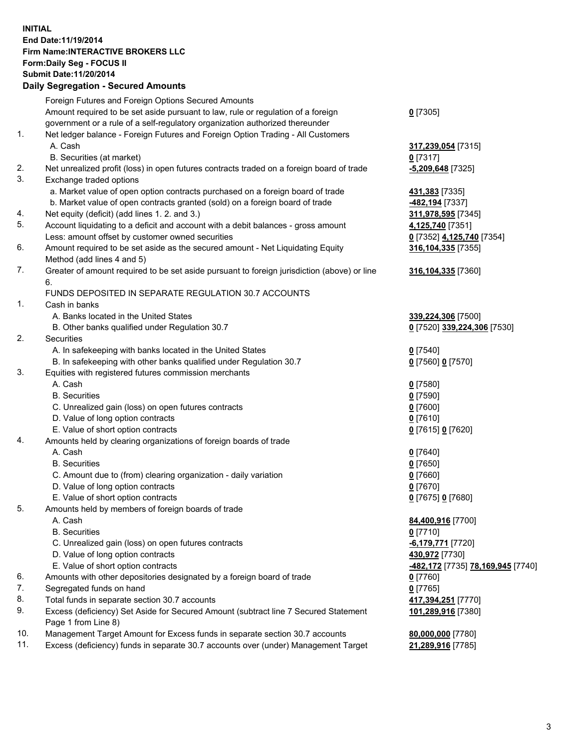## **INITIAL End Date:11/19/2014 Firm Name:INTERACTIVE BROKERS LLC Form:Daily Seg - FOCUS II Submit Date:11/20/2014 Daily Segregation - Secured Amounts**

|     | Dany Ocgregation - Oceanea Annoanta                                                         |                                                       |
|-----|---------------------------------------------------------------------------------------------|-------------------------------------------------------|
|     | Foreign Futures and Foreign Options Secured Amounts                                         |                                                       |
|     | Amount required to be set aside pursuant to law, rule or regulation of a foreign            | $0$ [7305]                                            |
|     | government or a rule of a self-regulatory organization authorized thereunder                |                                                       |
| 1.  | Net ledger balance - Foreign Futures and Foreign Option Trading - All Customers             |                                                       |
|     | A. Cash                                                                                     | 317,239,054 [7315]                                    |
|     | B. Securities (at market)                                                                   | $0$ [7317]                                            |
| 2.  | Net unrealized profit (loss) in open futures contracts traded on a foreign board of trade   | -5,209,648 [7325]                                     |
| 3.  | Exchange traded options                                                                     |                                                       |
|     | a. Market value of open option contracts purchased on a foreign board of trade              | 431,383 [7335]                                        |
|     | b. Market value of open contracts granted (sold) on a foreign board of trade                | -482,194 [7337]                                       |
| 4.  | Net equity (deficit) (add lines 1.2. and 3.)                                                | 311,978,595 [7345]                                    |
| 5.  | Account liquidating to a deficit and account with a debit balances - gross amount           | 4,125,740 [7351]                                      |
|     | Less: amount offset by customer owned securities                                            | 0 [7352] 4,125,740 [7354]                             |
| 6.  | Amount required to be set aside as the secured amount - Net Liquidating Equity              | 316, 104, 335 [7355]                                  |
|     | Method (add lines 4 and 5)                                                                  |                                                       |
| 7.  | Greater of amount required to be set aside pursuant to foreign jurisdiction (above) or line | 316, 104, 335 [7360]                                  |
|     | 6.                                                                                          |                                                       |
|     | FUNDS DEPOSITED IN SEPARATE REGULATION 30.7 ACCOUNTS                                        |                                                       |
| 1.  | Cash in banks                                                                               |                                                       |
|     | A. Banks located in the United States                                                       | 339,224,306 [7500]                                    |
|     | B. Other banks qualified under Regulation 30.7                                              | 0 [7520] 339,224,306 [7530]                           |
| 2.  | Securities                                                                                  |                                                       |
|     | A. In safekeeping with banks located in the United States                                   | $0$ [7540]                                            |
|     | B. In safekeeping with other banks qualified under Regulation 30.7                          | 0 [7560] 0 [7570]                                     |
| 3.  | Equities with registered futures commission merchants                                       |                                                       |
|     | A. Cash                                                                                     | $0$ [7580]                                            |
|     | <b>B.</b> Securities                                                                        | $0$ [7590]                                            |
|     | C. Unrealized gain (loss) on open futures contracts                                         | $0$ [7600]                                            |
|     | D. Value of long option contracts                                                           | $0$ [7610]                                            |
|     | E. Value of short option contracts                                                          | 0 [7615] 0 [7620]                                     |
| 4.  | Amounts held by clearing organizations of foreign boards of trade                           |                                                       |
|     | A. Cash                                                                                     | $0$ [7640]                                            |
|     | <b>B.</b> Securities                                                                        | $0$ [7650]                                            |
|     | C. Amount due to (from) clearing organization - daily variation                             | $0$ [7660]                                            |
|     | D. Value of long option contracts                                                           | $0$ [7670]                                            |
|     | E. Value of short option contracts                                                          | 0 [7675] 0 [7680]                                     |
| 5.  | Amounts held by members of foreign boards of trade                                          |                                                       |
|     | A. Cash                                                                                     | 84,400,916 [7700]                                     |
|     | <b>B.</b> Securities                                                                        | $0$ [7710]                                            |
|     | C. Unrealized gain (loss) on open futures contracts                                         | $-6,179,771$ [7720]                                   |
|     | D. Value of long option contracts                                                           | 430,972 [7730]                                        |
|     | E. Value of short option contracts                                                          | <mark>-482,172</mark> [7735] <u>78,169,945</u> [7740] |
| 6.  | Amounts with other depositories designated by a foreign board of trade                      | 0 [7760]                                              |
| 7.  | Segregated funds on hand                                                                    | $0$ [7765]                                            |
| 8.  | Total funds in separate section 30.7 accounts                                               | 417,394,251 [7770]                                    |
| 9.  | Excess (deficiency) Set Aside for Secured Amount (subtract line 7 Secured Statement         | 101,289,916 [7380]                                    |
|     | Page 1 from Line 8)                                                                         |                                                       |
| 10. | Management Target Amount for Excess funds in separate section 30.7 accounts                 | 80,000,000 [7780]                                     |
| 11. | Excess (deficiency) funds in separate 30.7 accounts over (under) Management Target          | 21,289,916 [7785]                                     |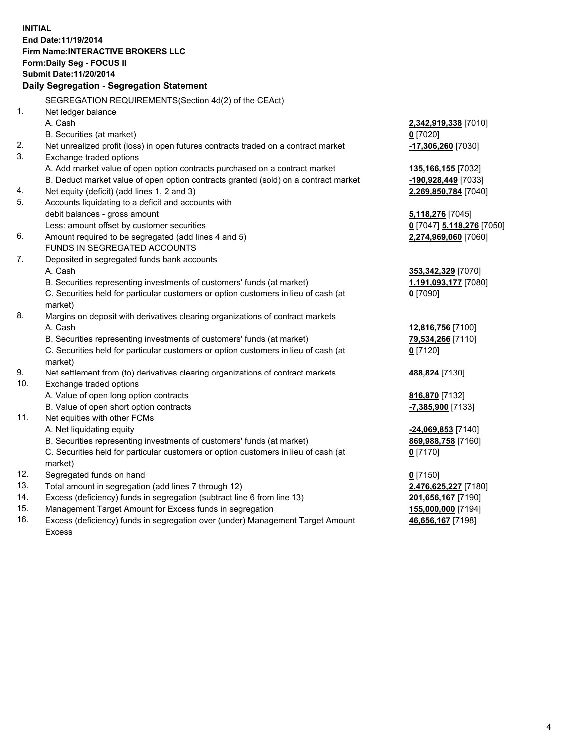**INITIAL End Date:11/19/2014 Firm Name:INTERACTIVE BROKERS LLC Form:Daily Seg - FOCUS II Submit Date:11/20/2014 Daily Segregation - Segregation Statement** SEGREGATION REQUIREMENTS(Section 4d(2) of the CEAct) 1. Net ledger balance A. Cash **2,342,919,338** [7010] B. Securities (at market) **0** [7020] 2. Net unrealized profit (loss) in open futures contracts traded on a contract market **-17,306,260** [7030] 3. Exchange traded options A. Add market value of open option contracts purchased on a contract market **135,166,155** [7032] B. Deduct market value of open option contracts granted (sold) on a contract market **-190,928,449** [7033] 4. Net equity (deficit) (add lines 1, 2 and 3) **2,269,850,784** [7040] 5. Accounts liquidating to a deficit and accounts with debit balances - gross amount **5,118,276** [7045] Less: amount offset by customer securities **0** [7047] **5,118,276** [7050] 6. Amount required to be segregated (add lines 4 and 5) **2,274,969,060** [7060] FUNDS IN SEGREGATED ACCOUNTS 7. Deposited in segregated funds bank accounts A. Cash **353,342,329** [7070] B. Securities representing investments of customers' funds (at market) **1,191,093,177** [7080] C. Securities held for particular customers or option customers in lieu of cash (at market) **0** [7090] 8. Margins on deposit with derivatives clearing organizations of contract markets A. Cash **12,816,756** [7100] B. Securities representing investments of customers' funds (at market) **79,534,266** [7110] C. Securities held for particular customers or option customers in lieu of cash (at market) **0** [7120] 9. Net settlement from (to) derivatives clearing organizations of contract markets **488,824** [7130] 10. Exchange traded options A. Value of open long option contracts **816,870** [7132] B. Value of open short option contracts **-7,385,900** [7133] 11. Net equities with other FCMs A. Net liquidating equity **-24,069,853** [7140] B. Securities representing investments of customers' funds (at market) **869,988,758** [7160] C. Securities held for particular customers or option customers in lieu of cash (at market) **0** [7170] 12. Segregated funds on hand **0** [7150] 13. Total amount in segregation (add lines 7 through 12) **2,476,625,227** [7180] 14. Excess (deficiency) funds in segregation (subtract line 6 from line 13) **201,656,167** [7190] 15. Management Target Amount for Excess funds in segregation **155,000,000** [7194]

16. Excess (deficiency) funds in segregation over (under) Management Target Amount Excess

**46,656,167** [7198]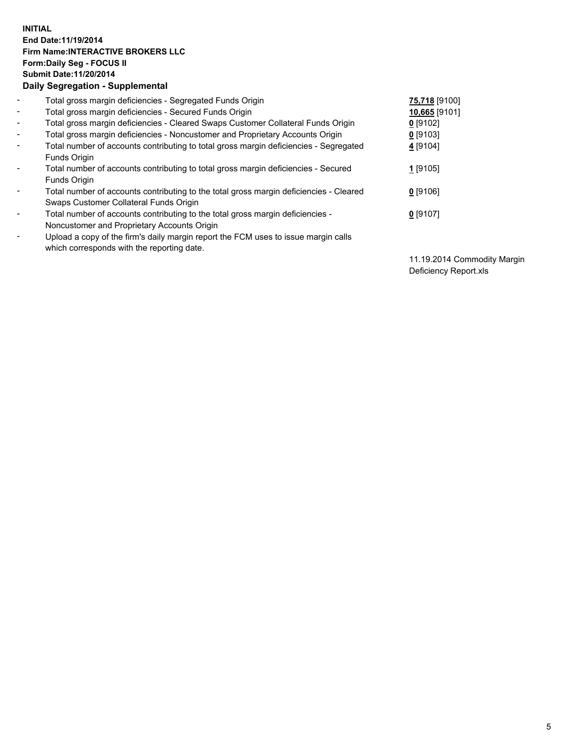## **INITIAL End Date:11/19/2014 Firm Name:INTERACTIVE BROKERS LLC Form:Daily Seg - FOCUS II Submit Date:11/20/2014 Daily Segregation - Supplemental**

| $\blacksquare$           | Total gross margin deficiencies - Segregated Funds Origin                              | 75,718 [9100] |
|--------------------------|----------------------------------------------------------------------------------------|---------------|
| $\blacksquare$           | Total gross margin deficiencies - Secured Funds Origin                                 | 10,665 [9101] |
| $\blacksquare$           | Total gross margin deficiencies - Cleared Swaps Customer Collateral Funds Origin       | $0$ [9102]    |
| $\blacksquare$           | Total gross margin deficiencies - Noncustomer and Proprietary Accounts Origin          | $0$ [9103]    |
| $\blacksquare$           | Total number of accounts contributing to total gross margin deficiencies - Segregated  | 4 [9104]      |
|                          | <b>Funds Origin</b>                                                                    |               |
| $\blacksquare$           | Total number of accounts contributing to total gross margin deficiencies - Secured     | $1$ [9105]    |
|                          | <b>Funds Origin</b>                                                                    |               |
| $\blacksquare$           | Total number of accounts contributing to the total gross margin deficiencies - Cleared | $0$ [9106]    |
|                          | Swaps Customer Collateral Funds Origin                                                 |               |
| $\blacksquare$           | Total number of accounts contributing to the total gross margin deficiencies -         | $0$ [9107]    |
|                          | Noncustomer and Proprietary Accounts Origin                                            |               |
| $\overline{\phantom{a}}$ | Upload a copy of the firm's daily margin report the FCM uses to issue margin calls     |               |
|                          | which corresponds with the reporting date.                                             |               |

11.19.2014 Commodity Margin Deficiency Report.xls